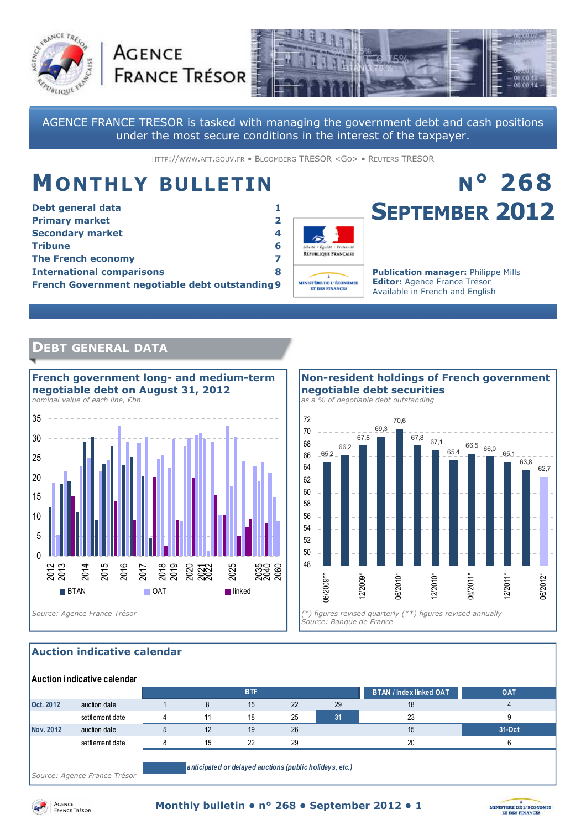



AGENCE FRANCE TRESOR is tasked with managing the government debt and cash positions under the most secure conditions in the interest of the taxpayer.

HTTP://WWW.AFT.GOUV.FR • BLOOMBERG TRESOR <GO> • REUTERS TRESOR

## **MONTHLY BULLETIN**

**AGENCE** 

| Debt general data                                      |   |
|--------------------------------------------------------|---|
| <b>Primary market</b>                                  | 2 |
| <b>Secondary market</b>                                | 4 |
| <b>Tribune</b>                                         | 6 |
| <b>The French economy</b>                              |   |
| <b>International comparisons</b>                       | 8 |
| <b>French Government negotiable debt outstanding 9</b> |   |



# **SEPTEMBER 2012**

**N° 268**

**Publication manager:** Philippe Mills **Editor:** Agence France Trésor Available in French and English

#### **DEBT GENERAL DATA**



66.2 67,8 69,3 70,6 67,8 67,1 65,4  $66,5$   $66,0$ 68 70 72 *as a % of negotiable debt outstanding* 

**negotiable debt securities** 

**Non-resident holdings of French government** 



#### **Auction indicative calendar**

|           | Auction indicative calendar |    |            |    |    |                                |        |
|-----------|-----------------------------|----|------------|----|----|--------------------------------|--------|
|           |                             |    | <b>BTF</b> |    |    | <b>BTAN / index linked OAT</b> | OAT    |
| Oct. 2012 | auction date                |    | 15         | 22 | 29 | 18                             |        |
|           | settlement date             | 11 | 18         | 25 | 31 | 23                             | 9      |
| Nov. 2012 | auction date                | 12 | 19         | 26 |    | 15                             | 31-Oct |
|           | settlement date             | 15 | 22         | 29 |    | 20                             |        |
|           |                             |    |            |    |    |                                |        |

*Source: Agence France Trésor* 

*anticipated or delayed auctions (public holidays, etc.)*



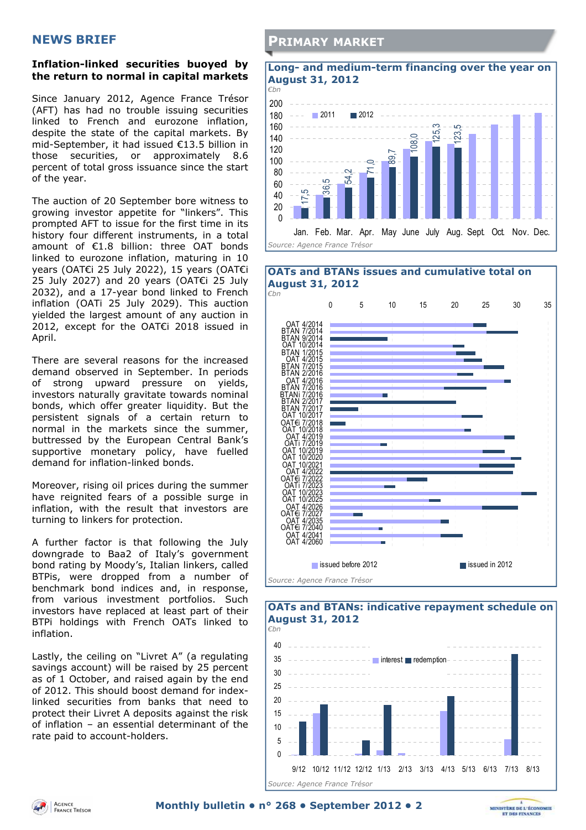#### **NEWS BRIEF**

#### **Inflation-linked securities buoyed by the return to normal in capital markets**

Since January 2012, Agence France Trésor (AFT) has had no trouble issuing securities linked to French and eurozone inflation, despite the state of the capital markets. By mid-September, it had issued €13.5 billion in those securities, or approximately 8.6 percent of total gross issuance since the start of the year.

The auction of 20 September bore witness to growing investor appetite for "linkers". This prompted AFT to issue for the first time in its history four different instruments, in a total amount of €1.8 billion: three OAT bonds linked to eurozone inflation, maturing in 10 years (OAT€i 25 July 2022), 15 years (OAT€i 25 July 2027) and 20 years (OAT€i 25 July 2032), and a 17-year bond linked to French inflation (OATi 25 July 2029). This auction yielded the largest amount of any auction in 2012, except for the OAT€i 2018 issued in April.

There are several reasons for the increased demand observed in September. In periods of strong upward pressure on yields, investors naturally gravitate towards nominal bonds, which offer greater liquidity. But the persistent signals of a certain return to normal in the markets since the summer, buttressed by the European Central Bank's supportive monetary policy, have fuelled demand for inflation-linked bonds.

Moreover, rising oil prices during the summer have reignited fears of a possible surge in inflation, with the result that investors are turning to linkers for protection.

A further factor is that following the July downgrade to Baa2 of Italy's government bond rating by Moody's, Italian linkers, called BTPis, were dropped from a number of benchmark bond indices and, in response, from various investment portfolios. Such investors have replaced at least part of their BTPi holdings with French OATs linked to inflation.

Lastly, the ceiling on "Livret A" (a regulating savings account) will be raised by 25 percent as of 1 October, and raised again by the end of 2012. This should boost demand for indexlinked securities from banks that need to protect their Livret A deposits against the risk of inflation – an essential determinant of the rate paid to account-holders.

#### **PRIMARY MARKET**



#### **OATs and BTANs issues and cumulative total on August 31, 2012**  *€bn*  0 5 10 15 20 25 30 35 OAT 4/2014 BTAN 7/2014 BTAN 9/2014 OAT 10/2014 BTAN 1/2015 OAT 4/2015 BTAN 7/2015 BTAN 2/2016 OAT 4/2016 BTAN 7/2016 BTANi 7/2016 BTAN 2/2017 ь BTAN 7/2017 OAT 10/2017 OAT€i 7/2018 OAT 10/2018 OAT 4/2019 OATi 7/2019 OAT 10/2019 OAT 10/2020 ۰ OAT 10/2021 OAT 4/2022 OAT€i 7/2022 OATi 7/2023 OAT 10/2023 OAT 10/2025 OAT 4/2026 OAT€i 7/2027 OAT 4/2035 OAT€i 7/2040 OAT 4/2041 OAT 4/2060 ■ issued before 2012 issued in 2012 *Source: Agence France Trésor*



*Source: Agence France Trésor* 

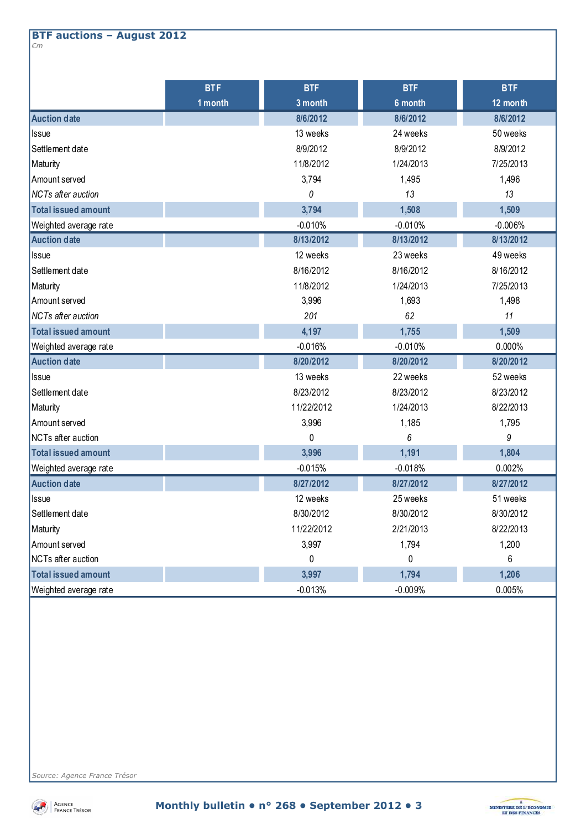#### **BTF auctions – August 2012**  *€m*

|                            | <b>BTF</b> | <b>BTF</b> | <b>BTF</b> | <b>BTF</b> |
|----------------------------|------------|------------|------------|------------|
|                            | 1 month    | 3 month    | 6 month    | 12 month   |
| <b>Auction date</b>        |            | 8/6/2012   | 8/6/2012   | 8/6/2012   |
| Issue                      |            | 13 weeks   | 24 weeks   | 50 weeks   |
| Settlement date            |            | 8/9/2012   | 8/9/2012   | 8/9/2012   |
| Maturity                   |            | 11/8/2012  | 1/24/2013  | 7/25/2013  |
| Amount served              |            | 3,794      | 1,495      | 1,496      |
| <b>NCTs after auction</b>  |            | 0          | 13         | 13         |
| <b>Total issued amount</b> |            | 3,794      | 1,508      | 1,509      |
| Weighted average rate      |            | $-0.010%$  | $-0.010%$  | $-0.006%$  |
| <b>Auction date</b>        |            | 8/13/2012  | 8/13/2012  | 8/13/2012  |
| <b>Issue</b>               |            | 12 weeks   | 23 weeks   | 49 weeks   |
| Settlement date            |            | 8/16/2012  | 8/16/2012  | 8/16/2012  |
| Maturity                   |            | 11/8/2012  | 1/24/2013  | 7/25/2013  |
| Amount served              |            | 3,996      | 1,693      | 1,498      |
| NCTs after auction         |            | 201        | 62         | 11         |
| <b>Total issued amount</b> |            | 4,197      | 1,755      | 1,509      |
| Weighted average rate      |            | $-0.016%$  | $-0.010%$  | 0.000%     |
| <b>Auction date</b>        |            | 8/20/2012  | 8/20/2012  | 8/20/2012  |
| <b>Issue</b>               |            | 13 weeks   | 22 weeks   | 52 weeks   |
| Settlement date            |            | 8/23/2012  | 8/23/2012  | 8/23/2012  |
| Maturity                   |            | 11/22/2012 | 1/24/2013  | 8/22/2013  |
| Amount served              |            | 3,996      | 1,185      | 1,795      |
| NCTs after auction         |            | $\Omega$   | 6          | 9          |
| <b>Total issued amount</b> |            | 3,996      | 1,191      | 1,804      |
| Weighted average rate      |            | $-0.015%$  | $-0.018%$  | 0.002%     |
| <b>Auction date</b>        |            | 8/27/2012  | 8/27/2012  | 8/27/2012  |
| <b>Issue</b>               |            | 12 weeks   | 25 weeks   | 51 weeks   |
| Settlement date            |            | 8/30/2012  | 8/30/2012  | 8/30/2012  |
| Maturity                   |            | 11/22/2012 | 2/21/2013  | 8/22/2013  |
| Amount served              |            | 3,997      | 1,794      | 1,200      |
| NCTs after auction         |            | 0          | 0          | 6          |
| <b>Total issued amount</b> |            | 3,997      | 1,794      | 1,206      |
| Weighted average rate      |            | $-0.013%$  | $-0.009%$  | 0.005%     |

*Source: Agence France Trésor* 



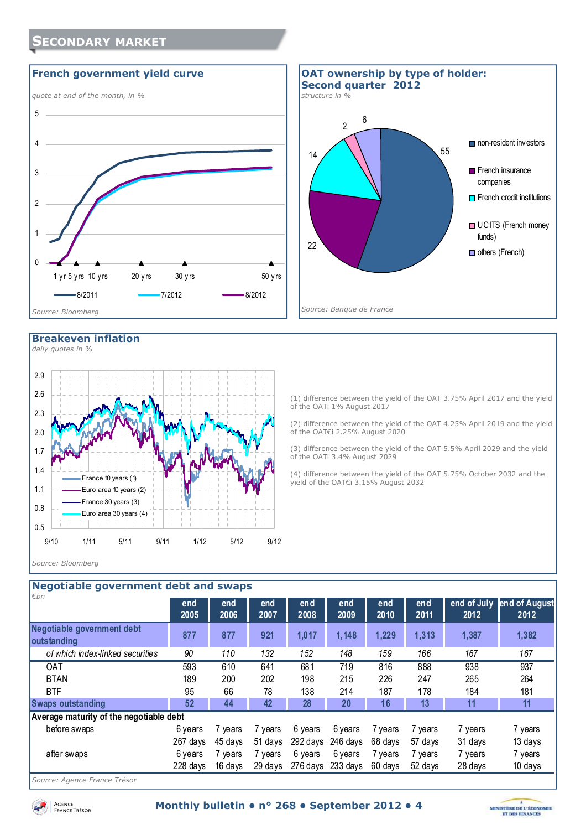### **SECONDARY MARKET**





#### **Breakeven inflation**

*daily quotes in %* 



(1) difference between the yield of the OAT 3.75% April 2017 and the yield of the OATi 1% August 2017

(2) difference between the yield of the OAT 4.25% April 2019 and the yield of the OAT€i 2.25% August 2020

(3) difference between the yield of the OAT 5.5% April 2029 and the yield of the OATi 3.4% August 2029

(4) difference between the yield of the OAT 5.75% October 2032 and the yield of the OAT€i 3.15% August 2032

#### *Source: Bloomberg*

|                                           | Negotiable government debt and swaps |             |             |              |             |             |             |                     |                       |
|-------------------------------------------|--------------------------------------|-------------|-------------|--------------|-------------|-------------|-------------|---------------------|-----------------------|
| €bn                                       | end<br>2005                          | end<br>2006 | end<br>2007 | en d<br>2008 | end<br>2009 | end<br>2010 | end<br>2011 | end of July<br>2012 | end of August<br>2012 |
| Negotiable government debt<br>outstanding | 877                                  | 877         | 921         | 1,017        | 1,148       | 1,229       | 1,313       | 1,387               | 1,382                 |
| of which index-linked securities          | 90                                   | 110         | 132         | 152          | 148         | 159         | 166         | 167                 | 167                   |
| <b>OAT</b>                                | 593                                  | 610         | 641         | 681          | 719         | 816         | 888         | 938                 | 937                   |
| <b>BTAN</b>                               | 189                                  | 200         | 202         | 198          | 215         | 226         | 247         | 265                 | 264                   |
| <b>BTF</b>                                | 95                                   | 66          | 78          | 138          | 214         | 187         | 178         | 184                 | 181                   |
| <b>Swaps outstanding</b>                  | 52                                   | 44          | 42          | 28           | 20          | 16          | 13          | 11                  | 11                    |
| Average maturity of the negotiable debt   |                                      |             |             |              |             |             |             |                     |                       |
| before swaps                              | 6 years                              | 7 years     | 7 years     | 6 years      | 6 years     | 7 years     | 7 years     | 7 years             | 7 years               |
|                                           | 267 days                             | 45 days     | 51 days     | 292 days     | 246 days    | 68 days     | 57 days     | 31 days             | 13 days               |
| after swaps                               | 6 years                              | 7 years     | 7 years     | 6 years      | 6 years     | 7 years     | 7 vears     | 7 years             | 7 years               |
|                                           | 228 days                             | 16 days     | 29 days     | 276 days     | 233 days    | 60 days     | 52 days     | 28 days             | 10 days               |
|                                           |                                      |             |             |              |             |             |             |                     |                       |

*Source: Agence France Trésor* 

Agence<br>France Trésor

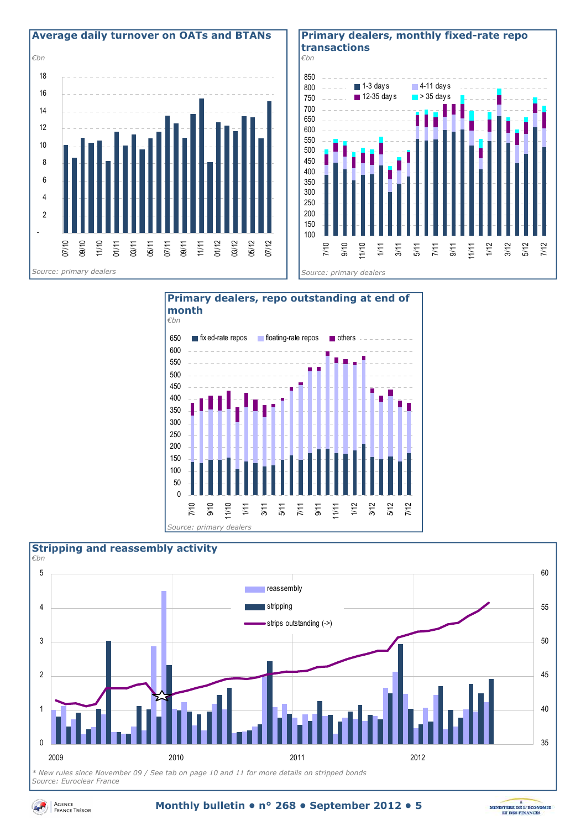

#### **Primary dealers, monthly fixed-rate repo transactions**







*Source: Euroclear France* 



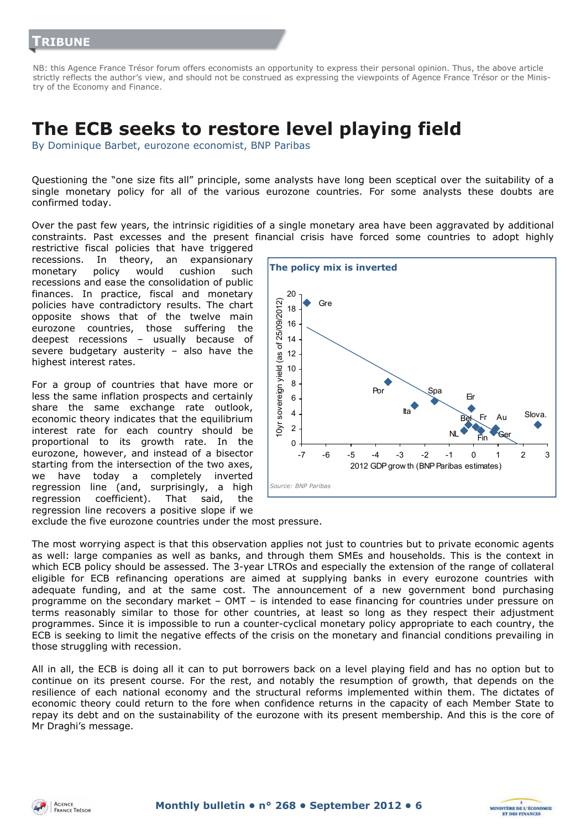NB: this Agence France Trésor forum offers economists an opportunity to express their personal opinion. Thus, the above article strictly reflects the author's view, and should not be construed as expressing the viewpoints of Agence France Trésor or the Ministry of the Economy and Finance.

## **The ECB seeks to restore level playing field**

By Dominique Barbet, eurozone economist, BNP Paribas

Questioning the "one size fits all" principle, some analysts have long been sceptical over the suitability of a single monetary policy for all of the various eurozone countries. For some analysts these doubts are confirmed today.

Over the past few years, the intrinsic rigidities of a single monetary area have been aggravated by additional constraints. Past excesses and the present financial crisis have forced some countries to adopt highly

restrictive fiscal policies that have triggered recessions. In theory, an expansionary monetary policy would cushion such recessions and ease the consolidation of public finances. In practice, fiscal and monetary policies have contradictory results. The chart opposite shows that of the twelve main eurozone countries, those suffering the deepest recessions – usually because of severe budgetary austerity – also have the highest interest rates.

For a group of countries that have more or less the same inflation prospects and certainly share the same exchange rate outlook, economic theory indicates that the equilibrium interest rate for each country should be proportional to its growth rate. In the eurozone, however, and instead of a bisector starting from the intersection of the two axes, we have today a completely inverted regression line (and, surprisingly, a high regression coefficient). That said, the regression line recovers a positive slope if we



MINISTÈRE DE L'ÉCONOMIE

**ET DES FINANCE** 

exclude the five eurozone countries under the most pressure.

The most worrying aspect is that this observation applies not just to countries but to private economic agents as well: large companies as well as banks, and through them SMEs and households. This is the context in which ECB policy should be assessed. The 3-year LTROs and especially the extension of the range of collateral eligible for ECB refinancing operations are aimed at supplying banks in every eurozone countries with adequate funding, and at the same cost. The announcement of a new government bond purchasing programme on the secondary market – OMT – is intended to ease financing for countries under pressure on terms reasonably similar to those for other countries, at least so long as they respect their adjustment programmes. Since it is impossible to run a counter-cyclical monetary policy appropriate to each country, the ECB is seeking to limit the negative effects of the crisis on the monetary and financial conditions prevailing in those struggling with recession.

All in all, the ECB is doing all it can to put borrowers back on a level playing field and has no option but to continue on its present course. For the rest, and notably the resumption of growth, that depends on the resilience of each national economy and the structural reforms implemented within them. The dictates of economic theory could return to the fore when confidence returns in the capacity of each Member State to repay its debt and on the sustainability of the eurozone with its present membership. And this is the core of Mr Draghi's message.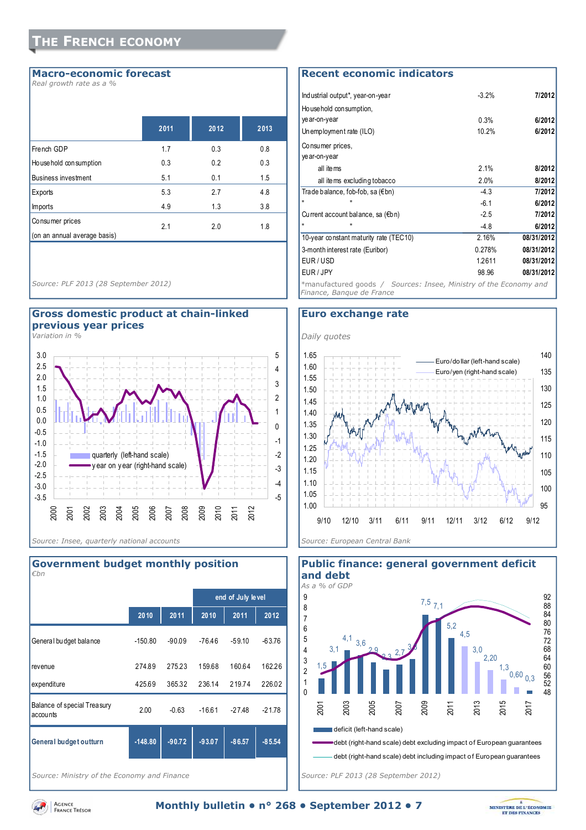#### **Macro-economic forecast**

*Real growth rate as a %* 

|                              | 2011 | 2012 | 2013 |
|------------------------------|------|------|------|
| French GDP                   | 1.7  | 0.3  | 0.8  |
| Ho use hold con sumption     | 0.3  | 0.2  | 0.3  |
| <b>Business investment</b>   | 5.1  | 0.1  | 1.5  |
| Exports                      | 5.3  | 2.7  | 4.8  |
| <b>Imports</b>               | 4.9  | 1.3  | 3.8  |
| Consumer prices              | 2.1  | 2.0  | 1.8  |
| (on an annual average basis) |      |      |      |

*Source: PLF 2013 (28 September 2012)* 

#### **Gross domestic product at chain-linked previous year prices**

*Variation in %* 



## **2010 2011 2010 2011 2012** General budget balance -150.80 -90.09 -76.46 -59.10 -63.76 revenue 274.89 275.23 159.68 160.64 162.26 expenditure 425.69 365.32 236.14 219.74 226.02 Balance of special Treasury accounts 2.00 -0.63 -16.61 -27.48 -21.78 **General budget outturn -148.80 -90.72 -93.07 -86.57 -85.54 end of July level** *€bn*

**Government budget monthly position** 

*Source: Ministry of the Economy and Finance* 

#### **Recent economic indicators**

| Industrial output*, year-on-year                                                               | $-3.2%$ | 7/2012     |
|------------------------------------------------------------------------------------------------|---------|------------|
|                                                                                                |         |            |
| Household consumption,                                                                         |         |            |
| ye ar-on-year                                                                                  | 0.3%    | 6/2012     |
| Unemployment rate (ILO)                                                                        | 10.2%   | 6/2012     |
| Consumer prices,                                                                               |         |            |
| ye ar-on-year                                                                                  |         |            |
| all items                                                                                      | 2.1%    | 8/2012     |
| all items excluding tobacco                                                                    | 2.0%    | 8/2012     |
| Trade balance, fob-fob, sa (€bn)                                                               | $-4.3$  | 7/2012     |
|                                                                                                | $-6.1$  | 6/2012     |
| Current account balance, sa (€bn)                                                              | $-2.5$  | 7/2012     |
|                                                                                                | $-4.8$  | 6/2012     |
| 10-year constant maturity rate (TEC10)                                                         | 2.16%   | 08/31/2012 |
| 3-month interest rate (Euribor)                                                                | 0.278%  | 08/31/2012 |
| EUR/USD                                                                                        | 1.2611  | 08/31/2012 |
| EUR / JPY                                                                                      | 98.96   | 08/31/2012 |
| *manufactured goods / Sources: Insee, Ministry of the Economy and<br>Finance, Banque de France |         |            |

#### **Euro exchange rate**





*Source: PLF 2013 (28 September 2012)* 



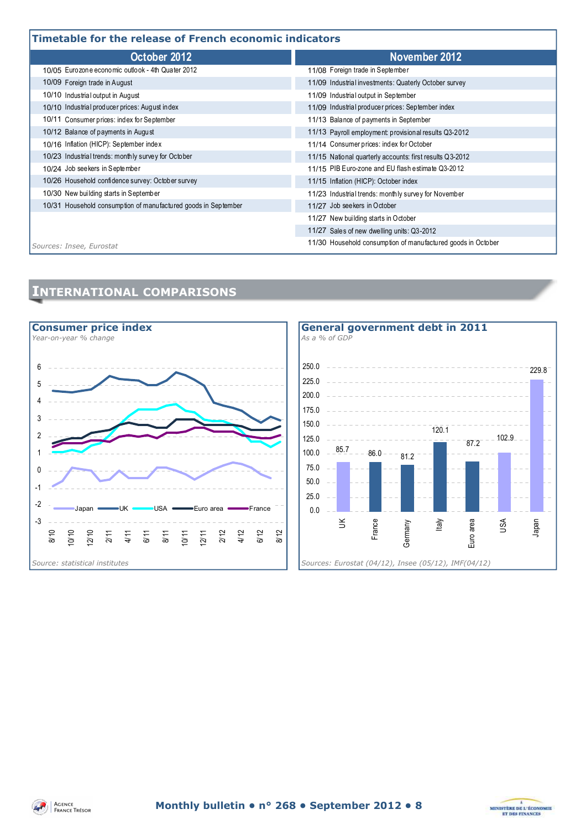#### **Timetable for the release of French economic indicators**

| Timetable for the release of French economic indicators        |                                                              |  |  |  |
|----------------------------------------------------------------|--------------------------------------------------------------|--|--|--|
| October 2012                                                   | November 2012                                                |  |  |  |
| 10/05 Eurozone economic outlook - 4th Quater 2012              | 11/08 Foreign trade in September                             |  |  |  |
| 10/09 Foreign trade in August                                  | 11/09 Industrial investments: Quaterly October survey        |  |  |  |
| 10/10 Industrial output in August                              | 11/09 Industrial output in September                         |  |  |  |
| 10/10 Industrial producer prices: August index                 | 11/09 Industrial producer prices: September index            |  |  |  |
| 10/11 Consumer prices: index for September                     | 11/13 Balance of payments in September                       |  |  |  |
| 10/12 Balance of payments in August                            | 11/13 Payroll employment provisional results Q3-2012         |  |  |  |
| 10/16 Inflation (HICP): September index                        | 11/14 Consumer prices: index for October                     |  |  |  |
| 10/23 Industrial trends: monthly survey for October            | 11/15 National quarterly accounts: first results Q3-2012     |  |  |  |
| 10/24 Job seekers in September                                 | 11/15 PIB Euro-zone and EU flash estimate Q3-2012            |  |  |  |
| 10/26 Household confidence survey: October survey              | 11/15 Inflation (HICP): October index                        |  |  |  |
| 10/30 New building starts in September                         | 11/23 Industrial trends: monthly survey for November         |  |  |  |
| 10/31 Household consumption of manufactured goods in September | 11/27 Job seekers in October                                 |  |  |  |
|                                                                | 11/27 New building starts in October                         |  |  |  |
|                                                                | 11/27 Sales of new dwelling units: Q3-2012                   |  |  |  |
| Sources: Insee, Eurostat                                       | 11/30 Household consumption of manufactured goods in October |  |  |  |

#### **INTERNATIONAL COMPARISONS**





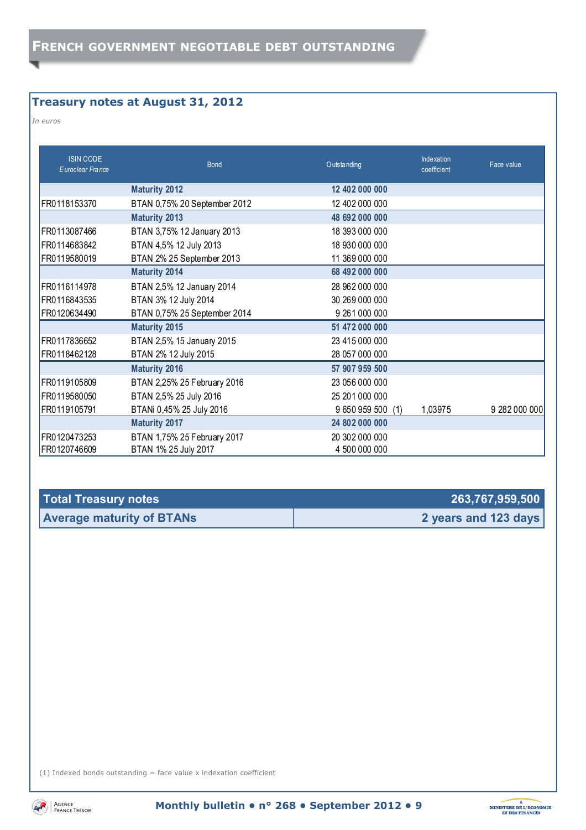#### **Treasury notes at August 31, 2012**

*In euros* 

| <b>ISIN CODE</b><br>Euroclear France | <b>Bond</b>                  | O utstanding      | <b>Indexation</b><br>coefficient | Face value    |
|--------------------------------------|------------------------------|-------------------|----------------------------------|---------------|
|                                      | <b>Maturity 2012</b>         | 12 402 000 000    |                                  |               |
| FR0118153370                         | BTAN 0,75% 20 September 2012 | 12 402 000 000    |                                  |               |
|                                      | <b>Maturity 2013</b>         | 48 692 000 000    |                                  |               |
| FR0113087466                         | BTAN 3,75% 12 January 2013   | 18 393 000 000    |                                  |               |
| FR0114683842                         | BTAN 4,5% 12 July 2013       | 18 930 000 000    |                                  |               |
| FR0119580019                         | BTAN 2% 25 September 2013    | 11 369 000 000    |                                  |               |
|                                      | <b>Maturity 2014</b>         | 68 492 000 000    |                                  |               |
| FR0116114978                         | BTAN 2,5% 12 January 2014    | 28 962 000 000    |                                  |               |
| FR0116843535                         | BTAN 3% 12 July 2014         | 30 269 000 000    |                                  |               |
| FR0120634490                         | BTAN 0,75% 25 September 2014 | 9 261 000 000     |                                  |               |
|                                      | <b>Maturity 2015</b>         | 51 472 000 000    |                                  |               |
| FR0117836652                         | BTAN 2,5% 15 January 2015    | 23 415 000 000    |                                  |               |
| FR0118462128                         | BTAN 2% 12 July 2015         | 28 057 000 000    |                                  |               |
|                                      | <b>Maturity 2016</b>         | 57 907 959 500    |                                  |               |
| FR0119105809                         | BTAN 2,25% 25 February 2016  | 23 056 000 000    |                                  |               |
| FR0119580050                         | BTAN 2,5% 25 July 2016       | 25 201 000 000    |                                  |               |
| FR0119105791                         | BTANi 0,45% 25 July 2016     | 9 650 959 500 (1) | 1,03975                          | 9 282 000 000 |
|                                      | <b>Maturity 2017</b>         | 24 802 000 000    |                                  |               |
| FR0120473253                         | BTAN 1,75% 25 February 2017  | 20 302 000 000    |                                  |               |
| FR0120746609                         | BTAN 1% 25 July 2017         | 4 500 000 000     |                                  |               |

| <b>Total Treasury notes</b>      | 263,767,959,500      |
|----------------------------------|----------------------|
| <b>Average maturity of BTANs</b> | 2 years and 123 days |

(1) Indexed bonds outstanding  $=$  face value x indexation coefficient



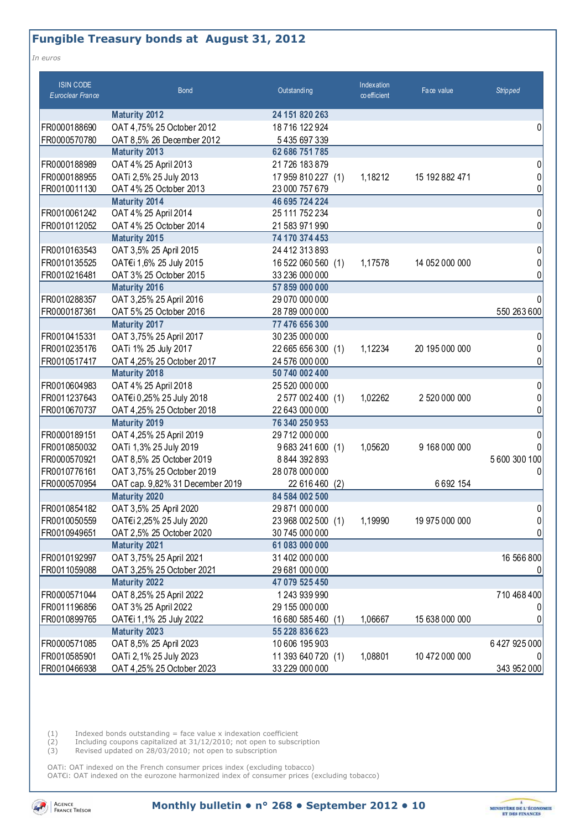#### **Fungible Treasury bonds at August 31, 2012**

*In euros* 

| <b>ISIN CODE</b><br><b>Euroclear France</b> | <b>Bond</b>                     | Outstanding           | Indexation<br>co efficient | Face value     | <b>Stripped</b> |
|---------------------------------------------|---------------------------------|-----------------------|----------------------------|----------------|-----------------|
|                                             | <b>Maturity 2012</b>            | 24 151 820 263        |                            |                |                 |
| FR0000188690                                | OAT 4,75% 25 October 2012       | 18716 122924          |                            |                | 0               |
| FR0000570780                                | OAT 8,5% 26 December 2012       | 5435697339            |                            |                |                 |
|                                             | <b>Maturity 2013</b>            | 62 686 751 785        |                            |                |                 |
| FR0000188989                                | OAT 4% 25 April 2013            | 21 726 183 879        |                            |                | 01              |
| FR0000188955                                | OATi 2,5% 25 July 2013          | 17 959 810 227 (1)    | 1,18212                    | 15 192 882 471 | 0               |
| FR0010011130                                | OAT 4% 25 October 2013          | 23 000 757 679        |                            |                |                 |
|                                             | <b>Maturity 2014</b>            | 46 695 724 224        |                            |                |                 |
| FR0010061242                                | OAT 4% 25 April 2014            | 25 111 752 234        |                            |                | 0               |
| FR0010112052                                | OAT 4% 25 October 2014          | 21 583 971 990        |                            |                | 0               |
|                                             | <b>Maturity 2015</b>            | 74 170 374 453        |                            |                |                 |
| FR0010163543                                | OAT 3,5% 25 April 2015          | 24 412 313 893        |                            |                | 0               |
| FR0010135525                                | OAT€i 1,6% 25 July 2015         | 16 522 060 560 (1)    | 1,17578                    | 14 052 000 000 |                 |
| FR0010216481                                | OAT 3% 25 October 2015          | 33 236 000 000        |                            |                |                 |
|                                             | <b>Maturity 2016</b>            | 57 859 000 000        |                            |                |                 |
| FR0010288357                                | OAT 3,25% 25 April 2016         | 29 070 000 000        |                            |                |                 |
| FR0000187361                                | OAT 5% 25 October 2016          | 28 789 000 000        |                            |                | 550 263 600     |
|                                             | <b>Maturity 2017</b>            | 77 476 656 300        |                            |                |                 |
| FR0010415331                                | OAT 3,75% 25 April 2017         | 30 235 000 000        |                            |                |                 |
| FR0010235176                                | OATi 1% 25 July 2017            | 22 665 656 300 (1)    | 1,12234                    | 20 195 000 000 |                 |
| FR0010517417                                | OAT 4,25% 25 October 2017       | 24 576 000 000        |                            |                |                 |
|                                             | <b>Maturity 2018</b>            | 50 740 002 400        |                            |                |                 |
| FR0010604983                                | OAT 4% 25 April 2018            | 25 520 000 000        |                            |                | 0               |
| FR0011237643                                | OAT€i 0,25% 25 July 2018        | 2577002400 (1)        | 1,02262                    | 2 520 000 000  |                 |
| FR0010670737                                | OAT 4,25% 25 October 2018       | 22 643 000 000        |                            |                |                 |
|                                             | <b>Maturity 2019</b>            | 76 340 250 953        |                            |                |                 |
| FR0000189151                                | OAT 4,25% 25 April 2019         | 29 712 000 000        |                            |                |                 |
| FR0010850032                                | OATi 1,3% 25 July 2019          | 9683241600 (1)        | 1,05620                    | 9 168 000 000  |                 |
| FR0000570921                                | OAT 8,5% 25 October 2019        | 8 844 392 893         |                            |                | 5600 300 100    |
| FR0010776161                                | OAT 3,75% 25 October 2019       | 28 078 000 000        |                            |                | 0               |
| FR0000570954                                | OAT cap. 9,82% 31 December 2019 | 22 616 460 (2)        |                            | 6692154        |                 |
|                                             | <b>Maturity 2020</b>            | 84 584 002 500        |                            |                |                 |
| FR0010854182                                | OAT 3,5% 25 April 2020          | 29 871 000 000        |                            |                | 0               |
| FR0010050559                                | OAT€i 2,25% 25 July 2020        | 23 968 002 500 (1)    | 1,19990                    | 19 975 000 000 | 01              |
| FR0010949651                                | OAT 2,5% 25 October 2020        | 30 745 000 000        |                            |                | 01              |
|                                             | <b>Maturity 2021</b>            | 61 083 000 000        |                            |                |                 |
| FR0010192997                                | OAT 3,75% 25 April 2021         | 31 402 000 000        |                            |                | 16 566 800      |
| FR0011059088                                | OAT 3,25% 25 October 2021       | 29 681 000 000        |                            |                |                 |
|                                             | <b>Maturity 2022</b>            | 47 079 525 450        |                            |                |                 |
| FR0000571044                                | OAT 8,25% 25 April 2022         | 1243 939 990          |                            |                | 710 468 400     |
| FR0011196856                                | OAT 3% 25 April 2022            | 29 155 000 000        |                            |                |                 |
| FR0010899765                                | OAT€i 1,1% 25 July 2022         | 16 680 585 460<br>(1) | 1,06667                    | 15 638 000 000 |                 |
|                                             | <b>Maturity 2023</b>            | 55 228 836 623        |                            |                |                 |
| FR0000571085                                | OAT 8,5% 25 April 2023          | 10 606 195 903        |                            |                | 6427925000      |
| FR0010585901                                | OATi 2, 1% 25 July 2023         | 11 393 640 720 (1)    | 1,08801                    | 10 472 000 000 |                 |
| FR0010466938                                | OAT 4,25% 25 October 2023       | 33 229 000 000        |                            |                | 343 952 000     |

 $(1)$  Indexed bonds outstanding = face value x indexation coefficient

(2) Including coupons capitalized at 31/12/2010; not open to subscription

(3) Revised updated on 28/03/2010; not open to subscription

OATi: OAT indexed on the French consumer prices index (excluding tobacco) OAT€i: OAT indexed on the eurozone harmonized index of consumer prices (excluding tobacco)

**AD** AGENCE<br>FRANCE TRÉSOR

**Monthly bulletin • n° 268 • September 2012 • 10** 

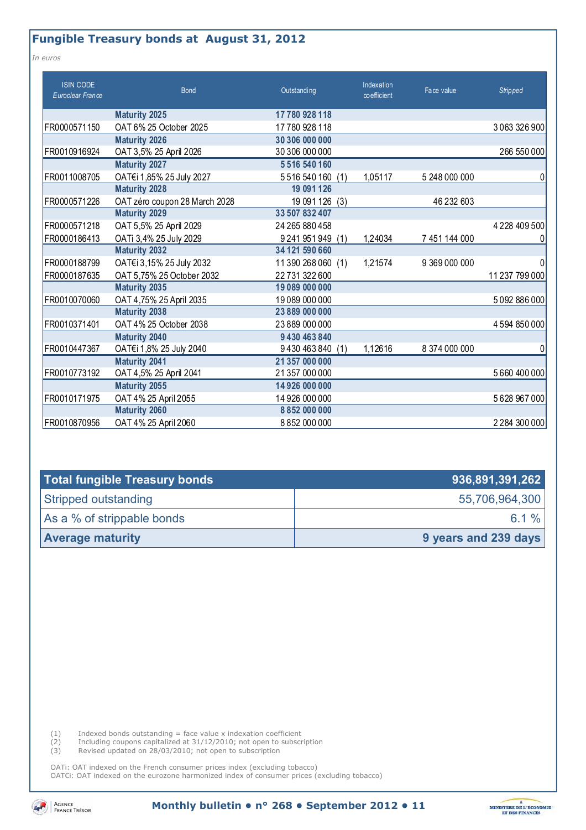#### **Fungible Treasury bonds at August 31, 2012**

*In euros* 

| <b>ISIN CODE</b><br>Euroclear France | <b>Bond</b>                   | Outstanding          | Indexation<br>coefficient | Face value    | <b>Stripped</b>    |
|--------------------------------------|-------------------------------|----------------------|---------------------------|---------------|--------------------|
|                                      | <b>Maturity 2025</b>          | 17780 928 118        |                           |               |                    |
| FR0000571150                         | OAT 6% 25 October 2025        | 17780 928 118        |                           |               | 3 0 63 3 2 6 9 0 0 |
|                                      | <b>Maturity 2026</b>          | 30 306 000 000       |                           |               |                    |
| FR0010916924                         | OAT 3,5% 25 April 2026        | 30 306 000 000       |                           |               | 266 550 000        |
|                                      | <b>Maturity 2027</b>          | 5 5 16 5 40 160      |                           |               |                    |
| FR0011008705                         | OAT€i 1,85% 25 July 2027      | 5516540160<br>(1)    | 1,05117                   | 5 248 000 000 | 0                  |
|                                      | <b>Maturity 2028</b>          | 19 091 126           |                           |               |                    |
| FR0000571226                         | OAT zéro coupon 28 March 2028 | 19 091 126 (3)       |                           | 46 232 603    |                    |
|                                      | <b>Maturity 2029</b>          | 33 507 832 407       |                           |               |                    |
| FR0000571218                         | OAT 5,5% 25 April 2029        | 24 265 880 458       |                           |               | 4 2 28 4 0 9 5 0 0 |
| FR0000186413                         | OATi 3,4% 25 July 2029        | 9 241 951 949<br>(1) | 1,24034                   | 7 451 144 000 |                    |
|                                      | <b>Maturity 2032</b>          | 34 121 590 660       |                           |               |                    |
| FR0000188799                         | OAT€i 3,15% 25 July 2032      | 11 390 268 060 (1)   | 1,21574                   | 9 369 000 000 |                    |
| FR0000187635                         | OAT 5,75% 25 October 2032     | 22 731 322 600       |                           |               | 11 237 799 000     |
|                                      | <b>Maturity 2035</b>          | 19 089 000 000       |                           |               |                    |
| FR0010070060                         | OAT 4,75% 25 April 2035       | 19 089 000 000       |                           |               | 5092886000         |
|                                      | <b>Maturity 2038</b>          | 23 889 000 000       |                           |               |                    |
| FR0010371401                         | OAT 4% 25 October 2038        | 23 889 000 000       |                           |               | 4594850000         |
|                                      | <b>Maturity 2040</b>          | 9 430 463 840        |                           |               |                    |
| FR0010447367                         | OAT€i 1,8% 25 July 2040       | 9430463840<br>(1)    | 1,12616                   | 8 374 000 000 | 0                  |
|                                      | <b>Maturity 2041</b>          | 21 357 000 000       |                           |               |                    |
| FR0010773192                         | OAT 4,5% 25 April 2041        | 21 357 000 000       |                           |               | 5660400000         |
|                                      | <b>Maturity 2055</b>          | 14 926 000 000       |                           |               |                    |
| FR0010171975                         | OAT 4% 25 April 2055          | 14 926 000 000       |                           |               | 5628967000         |
|                                      | <b>Maturity 2060</b>          | 8852000000           |                           |               |                    |
| FR0010870956                         | OAT 4% 25 April 2060          | 8852000000           |                           |               | 2 2 84 300 000     |

| <b>Total fungible Treasury bonds</b> | 936,891,391,262      |
|--------------------------------------|----------------------|
| Stripped outstanding                 | 55,706,964,300       |
| As a % of strippable bonds           | 6.1 \%               |
| <b>Average maturity</b>              | 9 years and 239 days |

 $(1)$  Indexed bonds outstanding = face value x indexation coefficient

(2) Including coupons capitalized at 31/12/2010; not open to subscription

(3) Revised updated on 28/03/2010; not open to subscription

OATi: OAT indexed on the French consumer prices index (excluding tobacco) OAT€i: OAT indexed on the eurozone harmonized index of consumer prices (excluding tobacco)



**Monthly bulletin • n° 268 • September 2012 • 11**